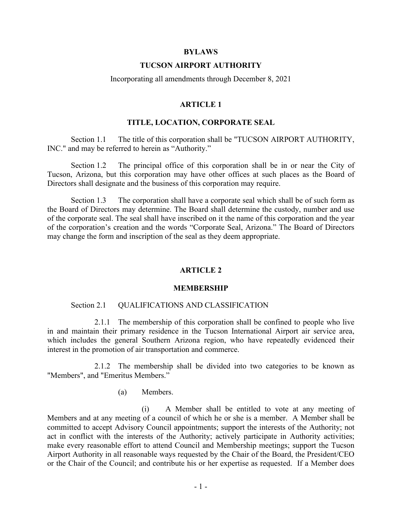#### **BYLAWS**

### **TUCSON AIRPORT AUTHORITY**

#### Incorporating all amendments through December 8, 2021

### **ARTICLE 1**

### **TITLE, LOCATION, CORPORATE SEAL**

Section 1.1 The title of this corporation shall be "TUCSON AIRPORT AUTHORITY, INC." and may be referred to herein as "Authority."

Section 1.2 The principal office of this corporation shall be in or near the City of Tucson, Arizona, but this corporation may have other offices at such places as the Board of Directors shall designate and the business of this corporation may require.

Section 1.3 The corporation shall have a corporate seal which shall be of such form as the Board of Directors may determine. The Board shall determine the custody, number and use of the corporate seal. The seal shall have inscribed on it the name of this corporation and the year of the corporation's creation and the words "Corporate Seal, Arizona." The Board of Directors may change the form and inscription of the seal as they deem appropriate.

### **ARTICLE 2**

#### **MEMBERSHIP**

#### Section 2.1 QUALIFICATIONS AND CLASSIFICATION

2.1.1 The membership of this corporation shall be confined to people who live in and maintain their primary residence in the Tucson International Airport air service area, which includes the general Southern Arizona region, who have repeatedly evidenced their interest in the promotion of air transportation and commerce.

2.1.2 The membership shall be divided into two categories to be known as "Members", and "Emeritus Members."

#### (a) Members.

(i) A Member shall be entitled to vote at any meeting of Members and at any meeting of a council of which he or she is a member. A Member shall be committed to accept Advisory Council appointments; support the interests of the Authority; not act in conflict with the interests of the Authority; actively participate in Authority activities; make every reasonable effort to attend Council and Membership meetings; support the Tucson Airport Authority in all reasonable ways requested by the Chair of the Board, the President/CEO or the Chair of the Council; and contribute his or her expertise as requested. If a Member does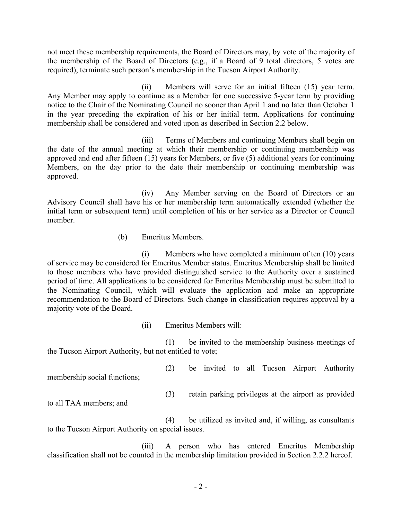not meet these membership requirements, the Board of Directors may, by vote of the majority of the membership of the Board of Directors (e.g., if a Board of 9 total directors, 5 votes are required), terminate such person's membership in the Tucson Airport Authority.

(ii) Members will serve for an initial fifteen (15) year term. Any Member may apply to continue as a Member for one successive 5-year term by providing notice to the Chair of the Nominating Council no sooner than April 1 and no later than October 1 in the year preceding the expiration of his or her initial term. Applications for continuing membership shall be considered and voted upon as described in Section 2.2 below.

(iii) Terms of Members and continuing Members shall begin on the date of the annual meeting at which their membership or continuing membership was approved and end after fifteen (15) years for Members, or five (5) additional years for continuing Members, on the day prior to the date their membership or continuing membership was approved.

(iv) Any Member serving on the Board of Directors or an Advisory Council shall have his or her membership term automatically extended (whether the initial term or subsequent term) until completion of his or her service as a Director or Council member.

(b) Emeritus Members.

(i) Members who have completed a minimum of ten (10) years of service may be considered for Emeritus Member status. Emeritus Membership shall be limited to those members who have provided distinguished service to the Authority over a sustained period of time. All applications to be considered for Emeritus Membership must be submitted to the Nominating Council, which will evaluate the application and make an appropriate recommendation to the Board of Directors. Such change in classification requires approval by a majority vote of the Board.

(ii) Emeritus Members will:

(1) be invited to the membership business meetings of the Tucson Airport Authority, but not entitled to vote;

(2) be invited to all Tucson Airport Authority

(3) retain parking privileges at the airport as provided

to all TAA members; and

membership social functions;

(4) be utilized as invited and, if willing, as consultants to the Tucson Airport Authority on special issues.

(iii) A person who has entered Emeritus Membership classification shall not be counted in the membership limitation provided in Section 2.2.2 hereof.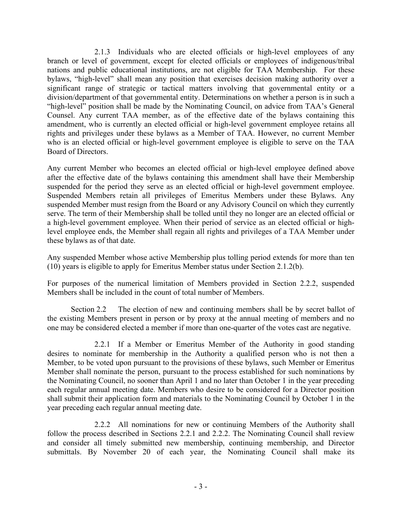2.1.3 Individuals who are elected officials or high-level employees of any branch or level of government, except for elected officials or employees of indigenous/tribal nations and public educational institutions, are not eligible for TAA Membership. For these bylaws, "high-level" shall mean any position that exercises decision making authority over a significant range of strategic or tactical matters involving that governmental entity or a division/department of that governmental entity. Determinations on whether a person is in such a "high-level" position shall be made by the Nominating Council, on advice from TAA's General Counsel. Any current TAA member, as of the effective date of the bylaws containing this amendment, who is currently an elected official or high-level government employee retains all rights and privileges under these bylaws as a Member of TAA. However, no current Member who is an elected official or high-level government employee is eligible to serve on the TAA Board of Directors.

Any current Member who becomes an elected official or high-level employee defined above after the effective date of the bylaws containing this amendment shall have their Membership suspended for the period they serve as an elected official or high-level government employee. Suspended Members retain all privileges of Emeritus Members under these Bylaws. Any suspended Member must resign from the Board or any Advisory Council on which they currently serve. The term of their Membership shall be tolled until they no longer are an elected official or a high-level government employee. When their period of service as an elected official or highlevel employee ends, the Member shall regain all rights and privileges of a TAA Member under these bylaws as of that date.

Any suspended Member whose active Membership plus tolling period extends for more than ten (10) years is eligible to apply for Emeritus Member status under Section 2.1.2(b).

For purposes of the numerical limitation of Members provided in Section 2.2.2, suspended Members shall be included in the count of total number of Members.

Section 2.2 The election of new and continuing members shall be by secret ballot of the existing Members present in person or by proxy at the annual meeting of members and no one may be considered elected a member if more than one-quarter of the votes cast are negative.

2.2.1 If a Member or Emeritus Member of the Authority in good standing desires to nominate for membership in the Authority a qualified person who is not then a Member, to be voted upon pursuant to the provisions of these bylaws, such Member or Emeritus Member shall nominate the person, pursuant to the process established for such nominations by the Nominating Council, no sooner than April 1 and no later than October 1 in the year preceding each regular annual meeting date. Members who desire to be considered for a Director position shall submit their application form and materials to the Nominating Council by October 1 in the year preceding each regular annual meeting date.

2.2.2 All nominations for new or continuing Members of the Authority shall follow the process described in Sections 2.2.1 and 2.2.2. The Nominating Council shall review and consider all timely submitted new membership, continuing membership, and Director submittals. By November 20 of each year, the Nominating Council shall make its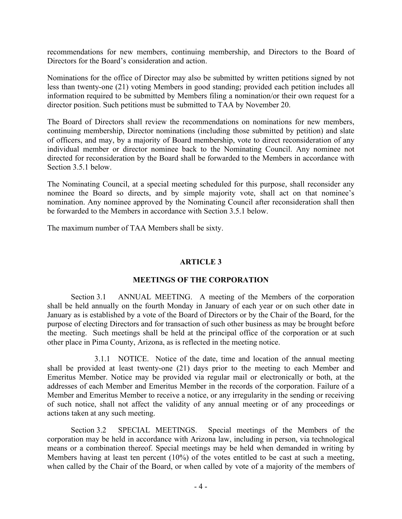recommendations for new members, continuing membership, and Directors to the Board of Directors for the Board's consideration and action.

Nominations for the office of Director may also be submitted by written petitions signed by not less than twenty-one (21) voting Members in good standing; provided each petition includes all information required to be submitted by Members filing a nomination/or their own request for a director position. Such petitions must be submitted to TAA by November 20.

The Board of Directors shall review the recommendations on nominations for new members, continuing membership, Director nominations (including those submitted by petition) and slate of officers, and may, by a majority of Board membership, vote to direct reconsideration of any individual member or director nominee back to the Nominating Council. Any nominee not directed for reconsideration by the Board shall be forwarded to the Members in accordance with Section 3.5.1 below.

The Nominating Council, at a special meeting scheduled for this purpose, shall reconsider any nominee the Board so directs, and by simple majority vote, shall act on that nominee's nomination. Any nominee approved by the Nominating Council after reconsideration shall then be forwarded to the Members in accordance with Section 3.5.1 below.

The maximum number of TAA Members shall be sixty.

# **ARTICLE 3**

# **MEETINGS OF THE CORPORATION**

Section 3.1 ANNUAL MEETING. A meeting of the Members of the corporation shall be held annually on the fourth Monday in January of each year or on such other date in January as is established by a vote of the Board of Directors or by the Chair of the Board, for the purpose of electing Directors and for transaction of such other business as may be brought before the meeting. Such meetings shall be held at the principal office of the corporation or at such other place in Pima County, Arizona, as is reflected in the meeting notice.

3.1.1 NOTICE. Notice of the date, time and location of the annual meeting shall be provided at least twenty-one (21) days prior to the meeting to each Member and Emeritus Member. Notice may be provided via regular mail or electronically or both, at the addresses of each Member and Emeritus Member in the records of the corporation. Failure of a Member and Emeritus Member to receive a notice, or any irregularity in the sending or receiving of such notice, shall not affect the validity of any annual meeting or of any proceedings or actions taken at any such meeting.

Section 3.2 SPECIAL MEETINGS. Special meetings of the Members of the corporation may be held in accordance with Arizona law, including in person, via technological means or a combination thereof. Special meetings may be held when demanded in writing by Members having at least ten percent (10%) of the votes entitled to be cast at such a meeting, when called by the Chair of the Board, or when called by vote of a majority of the members of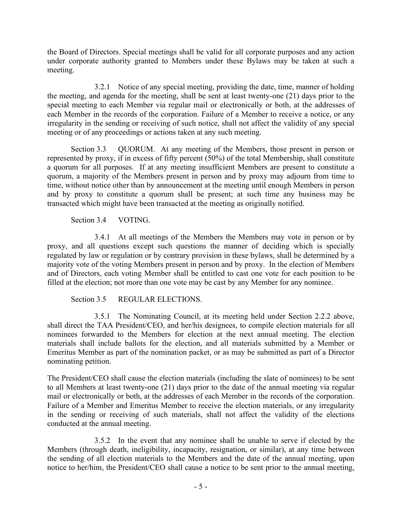the Board of Directors. Special meetings shall be valid for all corporate purposes and any action under corporate authority granted to Members under these Bylaws may be taken at such a meeting.

3.2.1 Notice of any special meeting, providing the date, time, manner of holding the meeting, and agenda for the meeting, shall be sent at least twenty-one (21) days prior to the special meeting to each Member via regular mail or electronically or both, at the addresses of each Member in the records of the corporation. Failure of a Member to receive a notice, or any irregularity in the sending or receiving of such notice, shall not affect the validity of any special meeting or of any proceedings or actions taken at any such meeting.

Section 3.3 QUORUM. At any meeting of the Members, those present in person or represented by proxy, if in excess of fifty percent (50%) of the total Membership, shall constitute a quorum for all purposes. If at any meeting insufficient Members are present to constitute a quorum, a majority of the Members present in person and by proxy may adjourn from time to time, without notice other than by announcement at the meeting until enough Members in person and by proxy to constitute a quorum shall be present; at such time any business may be transacted which might have been transacted at the meeting as originally notified.

Section 3.4 VOTING.

3.4.1 At all meetings of the Members the Members may vote in person or by proxy, and all questions except such questions the manner of deciding which is specially regulated by law or regulation or by contrary provision in these bylaws, shall be determined by a majority vote of the voting Members present in person and by proxy. In the election of Members and of Directors, each voting Member shall be entitled to cast one vote for each position to be filled at the election; not more than one vote may be cast by any Member for any nominee.

Section 3.5 REGULAR ELECTIONS.

3.5.1 The Nominating Council, at its meeting held under Section 2.2.2 above, shall direct the TAA President/CEO, and her/his designees, to compile election materials for all nominees forwarded to the Members for election at the next annual meeting. The election materials shall include ballots for the election, and all materials submitted by a Member or Emeritus Member as part of the nomination packet, or as may be submitted as part of a Director nominating petition.

The President/CEO shall cause the election materials (including the slate of nominees) to be sent to all Members at least twenty-one (21) days prior to the date of the annual meeting via regular mail or electronically or both, at the addresses of each Member in the records of the corporation. Failure of a Member and Emeritus Member to receive the election materials, or any irregularity in the sending or receiving of such materials, shall not affect the validity of the elections conducted at the annual meeting.

3.5.2 In the event that any nominee shall be unable to serve if elected by the Members (through death, ineligibility, incapacity, resignation, or similar), at any time between the sending of all election materials to the Members and the date of the annual meeting, upon notice to her/him, the President/CEO shall cause a notice to be sent prior to the annual meeting,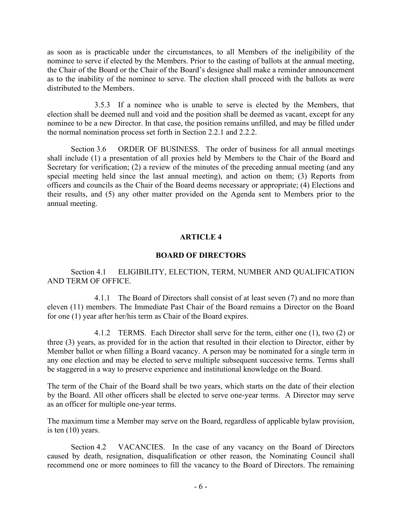as soon as is practicable under the circumstances, to all Members of the ineligibility of the nominee to serve if elected by the Members. Prior to the casting of ballots at the annual meeting, the Chair of the Board or the Chair of the Board's designee shall make a reminder announcement as to the inability of the nominee to serve. The election shall proceed with the ballots as were distributed to the Members.

3.5.3 If a nominee who is unable to serve is elected by the Members, that election shall be deemed null and void and the position shall be deemed as vacant, except for any nominee to be a new Director. In that case, the position remains unfilled, and may be filled under the normal nomination process set forth in Section 2.2.1 and 2.2.2.

Section 3.6 ORDER OF BUSINESS. The order of business for all annual meetings shall include (1) a presentation of all proxies held by Members to the Chair of the Board and Secretary for verification; (2) a review of the minutes of the preceding annual meeting (and any special meeting held since the last annual meeting), and action on them; (3) Reports from officers and councils as the Chair of the Board deems necessary or appropriate; (4) Elections and their results, and (5) any other matter provided on the Agenda sent to Members prior to the annual meeting.

# **ARTICLE 4**

# **BOARD OF DIRECTORS**

Section 4.1 ELIGIBILITY, ELECTION, TERM, NUMBER AND QUALIFICATION AND TERM OF OFFICE.

4.1.1 The Board of Directors shall consist of at least seven (7) and no more than eleven (11) members. The Immediate Past Chair of the Board remains a Director on the Board for one (1) year after her/his term as Chair of the Board expires.

4.1.2 TERMS. Each Director shall serve for the term, either one (1), two (2) or three (3) years, as provided for in the action that resulted in their election to Director, either by Member ballot or when filling a Board vacancy. A person may be nominated for a single term in any one election and may be elected to serve multiple subsequent successive terms. Terms shall be staggered in a way to preserve experience and institutional knowledge on the Board.

The term of the Chair of the Board shall be two years, which starts on the date of their election by the Board. All other officers shall be elected to serve one-year terms. A Director may serve as an officer for multiple one-year terms.

The maximum time a Member may serve on the Board, regardless of applicable bylaw provision, is ten (10) years.

Section 4.2 VACANCIES. In the case of any vacancy on the Board of Directors caused by death, resignation, disqualification or other reason, the Nominating Council shall recommend one or more nominees to fill the vacancy to the Board of Directors. The remaining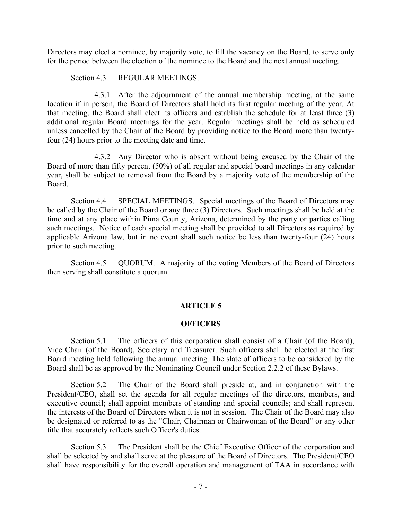Directors may elect a nominee, by majority vote, to fill the vacancy on the Board, to serve only for the period between the election of the nominee to the Board and the next annual meeting.

Section 4.3 REGULAR MEETINGS.

4.3.1 After the adjournment of the annual membership meeting, at the same location if in person, the Board of Directors shall hold its first regular meeting of the year. At that meeting, the Board shall elect its officers and establish the schedule for at least three (3) additional regular Board meetings for the year. Regular meetings shall be held as scheduled unless cancelled by the Chair of the Board by providing notice to the Board more than twentyfour (24) hours prior to the meeting date and time.

4.3.2 Any Director who is absent without being excused by the Chair of the Board of more than fifty percent (50%) of all regular and special board meetings in any calendar year, shall be subject to removal from the Board by a majority vote of the membership of the Board.

Section 4.4 SPECIAL MEETINGS. Special meetings of the Board of Directors may be called by the Chair of the Board or any three (3) Directors. Such meetings shall be held at the time and at any place within Pima County, Arizona, determined by the party or parties calling such meetings. Notice of each special meeting shall be provided to all Directors as required by applicable Arizona law, but in no event shall such notice be less than twenty-four (24) hours prior to such meeting.

Section 4.5 QUORUM. A majority of the voting Members of the Board of Directors then serving shall constitute a quorum.

# **ARTICLE 5**

### **OFFICERS**

Section 5.1 The officers of this corporation shall consist of a Chair (of the Board), Vice Chair (of the Board), Secretary and Treasurer. Such officers shall be elected at the first Board meeting held following the annual meeting. The slate of officers to be considered by the Board shall be as approved by the Nominating Council under Section 2.2.2 of these Bylaws.

Section 5.2 The Chair of the Board shall preside at, and in conjunction with the President/CEO, shall set the agenda for all regular meetings of the directors, members, and executive council; shall appoint members of standing and special councils; and shall represent the interests of the Board of Directors when it is not in session. The Chair of the Board may also be designated or referred to as the "Chair, Chairman or Chairwoman of the Board" or any other title that accurately reflects such Officer's duties.

Section 5.3 The President shall be the Chief Executive Officer of the corporation and shall be selected by and shall serve at the pleasure of the Board of Directors. The President/CEO shall have responsibility for the overall operation and management of TAA in accordance with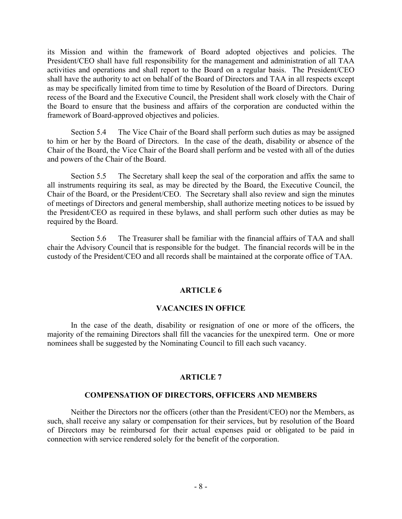its Mission and within the framework of Board adopted objectives and policies. The President/CEO shall have full responsibility for the management and administration of all TAA activities and operations and shall report to the Board on a regular basis. The President/CEO shall have the authority to act on behalf of the Board of Directors and TAA in all respects except as may be specifically limited from time to time by Resolution of the Board of Directors. During recess of the Board and the Executive Council, the President shall work closely with the Chair of the Board to ensure that the business and affairs of the corporation are conducted within the framework of Board-approved objectives and policies.

Section 5.4 The Vice Chair of the Board shall perform such duties as may be assigned to him or her by the Board of Directors. In the case of the death, disability or absence of the Chair of the Board, the Vice Chair of the Board shall perform and be vested with all of the duties and powers of the Chair of the Board.

Section 5.5 The Secretary shall keep the seal of the corporation and affix the same to all instruments requiring its seal, as may be directed by the Board, the Executive Council, the Chair of the Board, or the President/CEO. The Secretary shall also review and sign the minutes of meetings of Directors and general membership, shall authorize meeting notices to be issued by the President/CEO as required in these bylaws, and shall perform such other duties as may be required by the Board.

Section 5.6 The Treasurer shall be familiar with the financial affairs of TAA and shall chair the Advisory Council that is responsible for the budget. The financial records will be in the custody of the President/CEO and all records shall be maintained at the corporate office of TAA.

# **ARTICLE 6**

# **VACANCIES IN OFFICE**

In the case of the death, disability or resignation of one or more of the officers, the majority of the remaining Directors shall fill the vacancies for the unexpired term. One or more nominees shall be suggested by the Nominating Council to fill each such vacancy.

# **ARTICLE 7**

### **COMPENSATION OF DIRECTORS, OFFICERS AND MEMBERS**

Neither the Directors nor the officers (other than the President/CEO) nor the Members, as such, shall receive any salary or compensation for their services, but by resolution of the Board of Directors may be reimbursed for their actual expenses paid or obligated to be paid in connection with service rendered solely for the benefit of the corporation.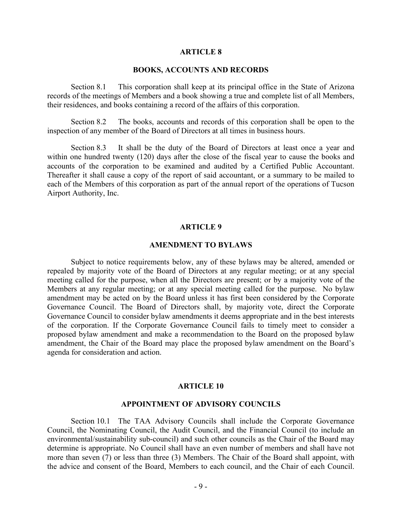## **ARTICLE 8**

## **BOOKS, ACCOUNTS AND RECORDS**

Section 8.1 This corporation shall keep at its principal office in the State of Arizona records of the meetings of Members and a book showing a true and complete list of all Members, their residences, and books containing a record of the affairs of this corporation.

Section 8.2 The books, accounts and records of this corporation shall be open to the inspection of any member of the Board of Directors at all times in business hours.

Section 8.3 It shall be the duty of the Board of Directors at least once a year and within one hundred twenty (120) days after the close of the fiscal year to cause the books and accounts of the corporation to be examined and audited by a Certified Public Accountant. Thereafter it shall cause a copy of the report of said accountant, or a summary to be mailed to each of the Members of this corporation as part of the annual report of the operations of Tucson Airport Authority, Inc.

### **ARTICLE 9**

### **AMENDMENT TO BYLAWS**

Subject to notice requirements below, any of these bylaws may be altered, amended or repealed by majority vote of the Board of Directors at any regular meeting; or at any special meeting called for the purpose, when all the Directors are present; or by a majority vote of the Members at any regular meeting; or at any special meeting called for the purpose. No bylaw amendment may be acted on by the Board unless it has first been considered by the Corporate Governance Council. The Board of Directors shall, by majority vote, direct the Corporate Governance Council to consider bylaw amendments it deems appropriate and in the best interests of the corporation. If the Corporate Governance Council fails to timely meet to consider a proposed bylaw amendment and make a recommendation to the Board on the proposed bylaw amendment, the Chair of the Board may place the proposed bylaw amendment on the Board's agenda for consideration and action.

#### **ARTICLE 10**

### **APPOINTMENT OF ADVISORY COUNCILS**

Section 10.1 The TAA Advisory Councils shall include the Corporate Governance Council, the Nominating Council, the Audit Council, and the Financial Council (to include an environmental/sustainability sub-council) and such other councils as the Chair of the Board may determine is appropriate. No Council shall have an even number of members and shall have not more than seven (7) or less than three (3) Members. The Chair of the Board shall appoint, with the advice and consent of the Board, Members to each council, and the Chair of each Council.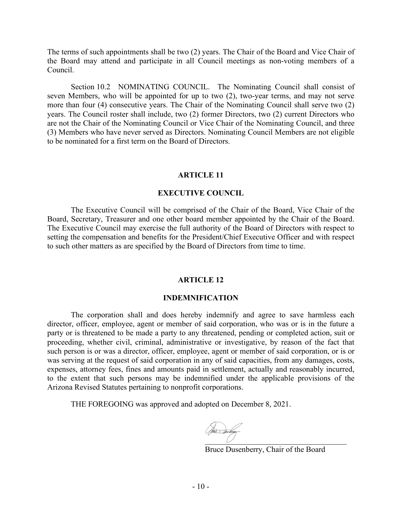The terms of such appointments shall be two (2) years. The Chair of the Board and Vice Chair of the Board may attend and participate in all Council meetings as non-voting members of a Council.

Section 10.2 NOMINATING COUNCIL. The Nominating Council shall consist of seven Members, who will be appointed for up to two (2), two-year terms, and may not serve more than four (4) consecutive years. The Chair of the Nominating Council shall serve two (2) years. The Council roster shall include, two (2) former Directors, two (2) current Directors who are not the Chair of the Nominating Council or Vice Chair of the Nominating Council, and three (3) Members who have never served as Directors. Nominating Council Members are not eligible to be nominated for a first term on the Board of Directors.

# **ARTICLE 11**

### **EXECUTIVE COUNCIL**

The Executive Council will be comprised of the Chair of the Board, Vice Chair of the Board, Secretary, Treasurer and one other board member appointed by the Chair of the Board. The Executive Council may exercise the full authority of the Board of Directors with respect to setting the compensation and benefits for the President/Chief Executive Officer and with respect to such other matters as are specified by the Board of Directors from time to time.

#### **ARTICLE 12**

#### **INDEMNIFICATION**

The corporation shall and does hereby indemnify and agree to save harmless each director, officer, employee, agent or member of said corporation, who was or is in the future a party or is threatened to be made a party to any threatened, pending or completed action, suit or proceeding, whether civil, criminal, administrative or investigative, by reason of the fact that such person is or was a director, officer, employee, agent or member of said corporation, or is or was serving at the request of said corporation in any of said capacities, from any damages, costs, expenses, attorney fees, fines and amounts paid in settlement, actually and reasonably incurred, to the extent that such persons may be indemnified under the applicable provisions of the Arizona Revised Statutes pertaining to nonprofit corporations.

THE FOREGOING was approved and adopted on December 8, 2021.

[\\_\\_\\_\\_\\_\\_\\_\\_\\_\\_\\_\\_\\_\\_\\_\\_\\_\\_\\_\\_\\_\\_\\_\\_\\_\\_\\_\\_\\_\\_\\_\\_\\_\\_\\_\\_](https://na2.documents.adobe.com/verifier?tx=CBJCHBCAABAAoHpN-9aB4qClDpneRGsl4K5rkqOcT19G)

Bruce Dusenberry, Chair of the Board